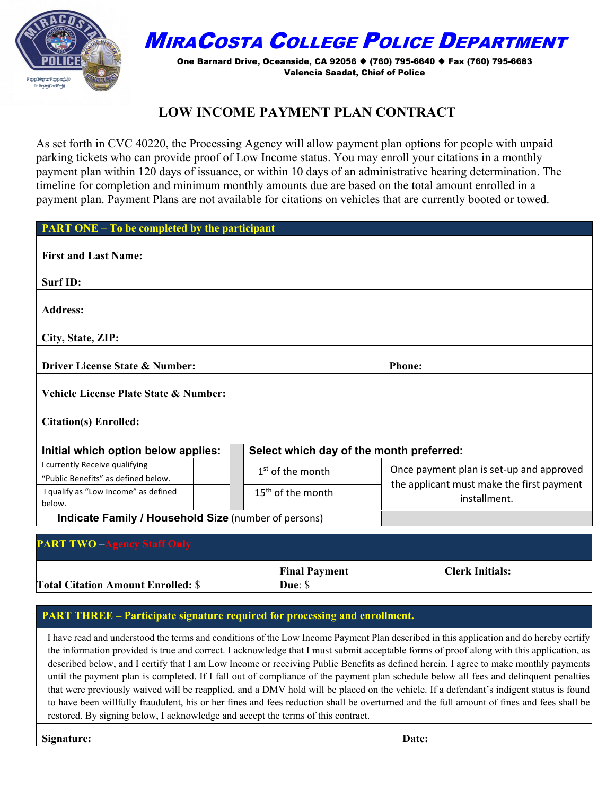

## MIRACOSTA COLLEGE POLICE DEPARTMENT

One Barnard Drive, Oceanside, CA 92056 (760) 795-6640 Fax (760) 795-6683 Valencia Saadat, Chief of Police

## **LOW INCOME PAYMENT PLAN CONTRACT**

As set forth in CVC 40220, the Processing Agency will allow payment plan options for people with unpaid parking tickets who can provide proof of Low Income status. You may enroll your citations in a monthly payment plan within 120 days of issuance, or within 10 days of an administrative hearing determination. The timeline for completion and minimum monthly amounts due are based on the total amount enrolled in a payment plan. Payment Plans are not available for citations on vehicles that are currently booted or towed.

| <b>PART ONE – To be completed by the participant</b>                  |                                          |                                                           |  |  |
|-----------------------------------------------------------------------|------------------------------------------|-----------------------------------------------------------|--|--|
| <b>First and Last Name:</b>                                           |                                          |                                                           |  |  |
| Surf ID:                                                              |                                          |                                                           |  |  |
| <b>Address:</b>                                                       |                                          |                                                           |  |  |
| City, State, ZIP:                                                     |                                          |                                                           |  |  |
| Driver License State & Number:<br><b>Phone:</b>                       |                                          |                                                           |  |  |
| Vehicle License Plate State & Number:                                 |                                          |                                                           |  |  |
| <b>Citation(s) Enrolled:</b>                                          |                                          |                                                           |  |  |
| Initial which option below applies:                                   | Select which day of the month preferred: |                                                           |  |  |
| I currently Receive qualifying<br>"Public Benefits" as defined below. | $1st$ of the month                       | Once payment plan is set-up and approved                  |  |  |
| I qualify as "Low Income" as defined<br>below.                        | 15 <sup>th</sup> of the month            | the applicant must make the first payment<br>installment. |  |  |
| Indicate Family / Household Size (number of persons)                  |                                          |                                                           |  |  |
| <b>PART TWO -Agency Staff Only</b>                                    |                                          |                                                           |  |  |

**Total Citation Amount Enrolled:** \$

**Final Payment Due**: \$

**Clerk Initials:** 

#### **PART THREE – Participate signature required for processing and enrollment.**

I have read and understood the terms and conditions of the Low Income Payment Plan described in this application and do hereby certify the information provided is true and correct. I acknowledge that I must submit acceptable forms of proof along with this application, as described below, and I certify that I am Low Income or receiving Public Benefits as defined herein. I agree to make monthly payments until the payment plan is completed. If I fall out of compliance of the payment plan schedule below all fees and delinquent penalties that were previously waived will be reapplied, and a DMV hold will be placed on the vehicle. If a defendant's indigent status is found to have been willfully fraudulent, his or her fines and fees reduction shall be overturned and the full amount of fines and fees shall be restored. By signing below, I acknowledge and accept the terms of this contract.

**Signature: Date:**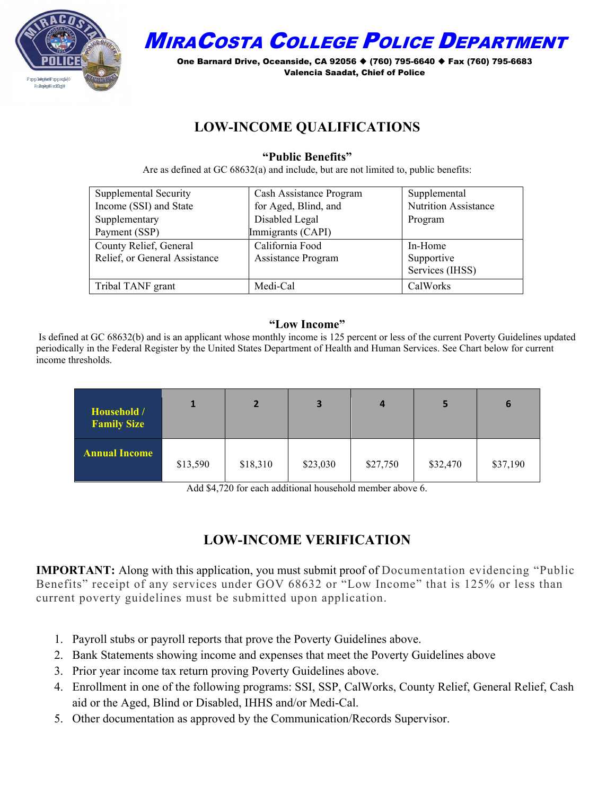

MIRACOSTA COLLEGE POLICE DEPARTMENT

One Barnard Drive, Oceanside, CA 92056 ♦ (760) 795-6640 ♦ Fax (760) 795-6683 Valencia Saadat, Chief of Police

### **LOW-INCOME QUALIFICATIONS**

#### **"Public Benefits"**

Are as defined at GC 68632(a) and include, but are not limited to, public benefits:

| Supplemental Security         | Cash Assistance Program   | Supplemental                |
|-------------------------------|---------------------------|-----------------------------|
| Income (SSI) and State        | for Aged, Blind, and      | <b>Nutrition Assistance</b> |
| Supplementary                 | Disabled Legal            | Program                     |
| Payment (SSP)                 | Immigrants (CAPI)         |                             |
| County Relief, General        | California Food           | In-Home                     |
| Relief, or General Assistance | <b>Assistance Program</b> | Supportive                  |
|                               |                           | Services (IHSS)             |
| Tribal TANF grant             | Medi-Cal                  | CalWorks                    |

#### **"Low Income"**

Is defined at GC 68632(b) and is an applicant whose monthly income is 125 percent or less of the current Poverty Guidelines updated periodically in the Federal Register by the United States Department of Health and Human Services. See Chart below for current income thresholds.

| Household /<br><b>Family Size</b> |          | $\mathbf{2}$ | 3        | 4        |          | 6        |
|-----------------------------------|----------|--------------|----------|----------|----------|----------|
| <b>Annual Income</b>              | \$13,590 | \$18,310     | \$23,030 | \$27,750 | \$32,470 | \$37,190 |

Add \$4,720 for each additional household member above 6.

## **LOW-INCOME VERIFICATION**

**IMPORTANT:** Along with this application, you must submit proof of Documentation evidencing "Public Benefits" receipt of any services under GOV 68632 or "Low Income" that is 125% or less than current poverty guidelines must be submitted upon application.

- 1. Payroll stubs or payroll reports that prove the Poverty Guidelines above.
- 2. Bank Statements showing income and expenses that meet the Poverty Guidelines above
- 3. Prior year income tax return proving Poverty Guidelines above.
- 4. Enrollment in one of the following programs: SSI, SSP, CalWorks, County Relief, General Relief, Cash aid or the Aged, Blind or Disabled, IHHS and/or Medi-Cal.
- 5. Other documentation as approved by the Communication/Records Supervisor.